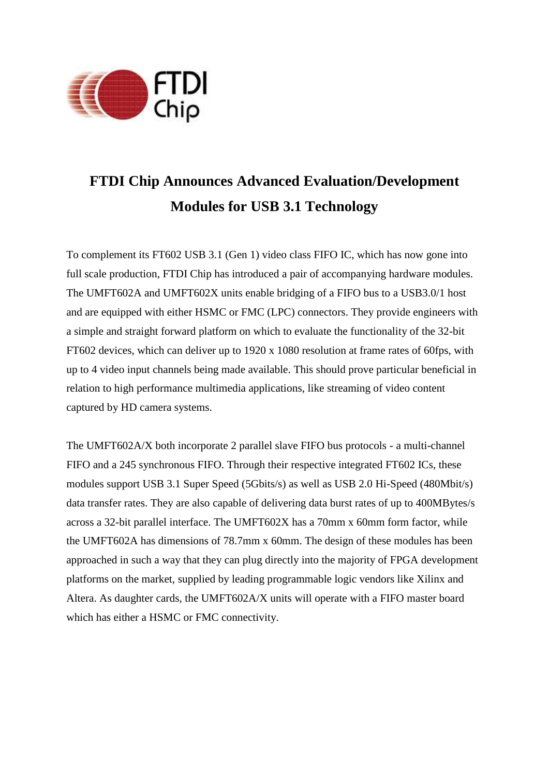

## **FTDI Chip Announces Advanced Evaluation/Development Modules for USB 3.1 Technology**

To complement its FT602 USB 3.1 (Gen 1) video class FIFO IC, which has now gone into full scale production, FTDI Chip has introduced a pair of accompanying hardware modules. The UMFT602A and UMFT602X units enable bridging of a FIFO bus to a USB3.0/1 host and are equipped with either HSMC or FMC (LPC) connectors. They provide engineers with a simple and straight forward platform on which to evaluate the functionality of the 32-bit FT602 devices, which can deliver up to 1920 x 1080 resolution at frame rates of 60fps, with up to 4 video input channels being made available. This should prove particular beneficial in relation to high performance multimedia applications, like streaming of video content captured by HD camera systems.

The UMFT602A/X both incorporate 2 parallel slave FIFO bus protocols - a multi-channel FIFO and a 245 synchronous FIFO. Through their respective integrated FT602 ICs, these modules support USB 3.1 Super Speed (5Gbits/s) as well as USB 2.0 Hi-Speed (480Mbit/s) data transfer rates. They are also capable of delivering data burst rates of up to 400MBytes/s across a 32-bit parallel interface. The UMFT602X has a 70mm x 60mm form factor, while the UMFT602A has dimensions of 78.7mm x 60mm. The design of these modules has been approached in such a way that they can plug directly into the majority of FPGA development platforms on the market, supplied by leading programmable logic vendors like Xilinx and Altera. As daughter cards, the UMFT602A/X units will operate with a FIFO master board which has either a HSMC or FMC connectivity.